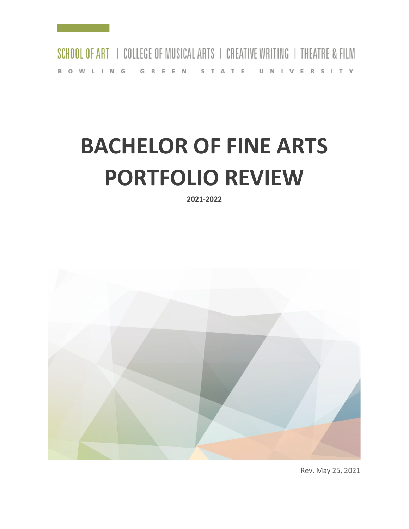

# **BACHELOR OF FINE ARTS PORTFOLIO REVIEW**

**2021-2022**



Rev. May 25, 2021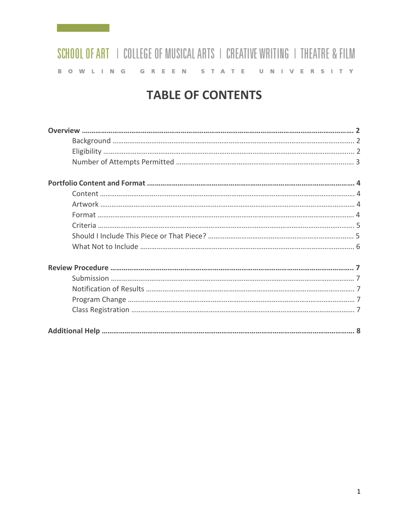## **TABLE OF CONTENTS**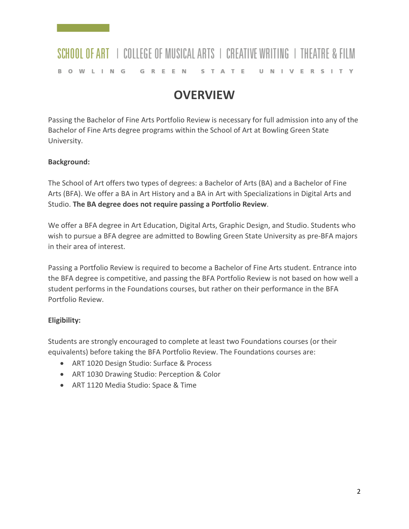### **OVERVIEW**

Passing the Bachelor of Fine Arts Portfolio Review is necessary for full admission into any of the Bachelor of Fine Arts degree programs within the School of Art at Bowling Green State University.

#### **Background:**

The School of Art offers two types of degrees: a Bachelor of Arts (BA) and a Bachelor of Fine Arts (BFA). We offer a BA in Art History and a BA in Art with Specializations in Digital Arts and Studio. **The BA degree does not require passing a Portfolio Review**.

We offer a BFA degree in Art Education, Digital Arts, Graphic Design, and Studio. Students who wish to pursue a BFA degree are admitted to Bowling Green State University as pre-BFA majors in their area of interest.

Passing a Portfolio Review is required to become a Bachelor of Fine Arts student. Entrance into the BFA degree is competitive, and passing the BFA Portfolio Review is not based on how well a student performs in the Foundations courses, but rather on their performance in the BFA Portfolio Review.

#### **Eligibility:**

Students are strongly encouraged to complete at least two Foundations courses (or their equivalents) before taking the BFA Portfolio Review. The Foundations courses are:

- ART 1020 Design Studio: Surface & Process
- ART 1030 Drawing Studio: Perception & Color
- ART 1120 Media Studio: Space & Time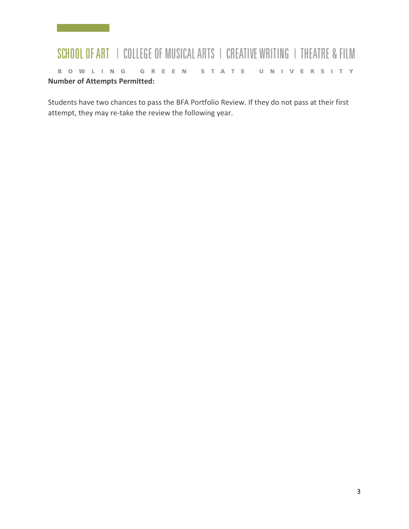### SCHOOL OF ART | COLLEGE OF MUSICAL ARTS | CREATIVE WRITING | THEATRE & FILM BOWLING GREEN STATE UNIVERSITY **Number of Attempts Permitted:**

Students have two chances to pass the BFA Portfolio Review. If they do not pass at their first attempt, they may re-take the review the following year.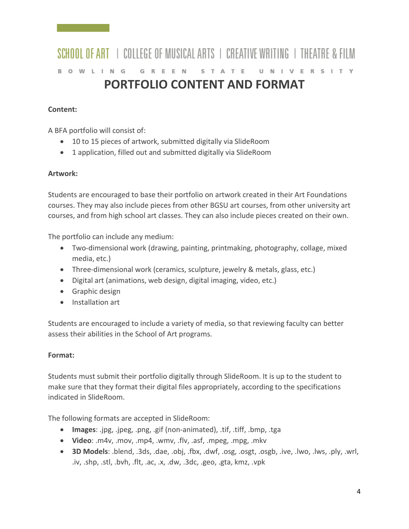#### SCHOOL OF ART | COLLEGE OF MUSICAL ARTS | CREATIVE WRITING | THEATRE & FILM BOWLING GREEN STATE UNIVERSITY **PORTFOLIO CONTENT AND FORMAT**

#### **Content:**

A BFA portfolio will consist of:

- 10 to 15 pieces of artwork, submitted digitally via SlideRoom
- 1 application, filled out and submitted digitally via SlideRoom

#### **Artwork:**

Students are encouraged to base their portfolio on artwork created in their Art Foundations courses. They may also include pieces from other BGSU art courses, from other university art courses, and from high school art classes. They can also include pieces created on their own.

The portfolio can include any medium:

- Two-dimensional work (drawing, painting, printmaking, photography, collage, mixed media, etc.)
- Three-dimensional work (ceramics, sculpture, jewelry & metals, glass, etc.)
- Digital art (animations, web design, digital imaging, video, etc.)
- Graphic design
- Installation art

Students are encouraged to include a variety of media, so that reviewing faculty can better assess their abilities in the School of Art programs.

#### **Format:**

Students must submit their portfolio digitally through SlideRoom. It is up to the student to make sure that they format their digital files appropriately, according to the specifications indicated in SlideRoom.

The following formats are accepted in SlideRoom:

- **Images**: .jpg, .jpeg, .png, .gif (non-animated), .tif, .tiff, .bmp, .tga
- **Video**: .m4v, .mov, .mp4, .wmv, .flv, .asf, .mpeg, .mpg, .mkv
- **3D Models**: .blend, .3ds, .dae, .obj, .fbx, .dwf, .osg, .osgt, .osgb, .ive, .lwo, .lws, .ply, .wrl, .iv, .shp, .stl, .bvh, .flt, .ac, .x, .dw, .3dc, .geo, .gta, kmz, .vpk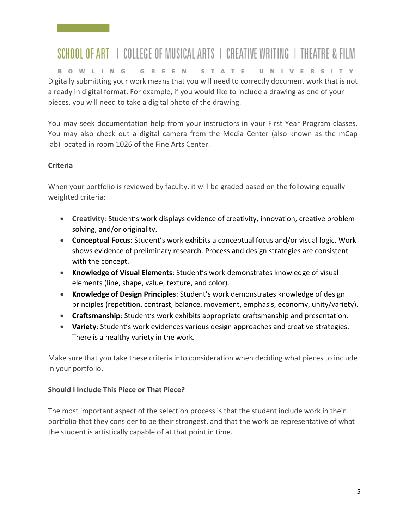# SCHOOL OF ART | COLLEGE OF MUSICAL ARTS | CREATIVE WRITING | THEATRE & FILM

BOWLING GREEN S T A T E U N I V E R S I T Y Digitally submitting your work means that you will need to correctly document work that is not already in digital format. For example, if you would like to include a drawing as one of your pieces, you will need to take a digital photo of the drawing.

You may seek documentation help from your instructors in your First Year Program classes. You may also check out a digital camera from the Media Center (also known as the mCap lab) located in room 1026 of the Fine Arts Center.

#### **Criteria**

When your portfolio is reviewed by faculty, it will be graded based on the following equally weighted criteria:

- **Creativity**: Student's work displays evidence of creativity, innovation, creative problem solving, and/or originality.
- **Conceptual Focus**: Student's work exhibits a conceptual focus and/or visual logic. Work shows evidence of preliminary research. Process and design strategies are consistent with the concept.
- **Knowledge of Visual Elements**: Student's work demonstrates knowledge of visual elements (line, shape, value, texture, and color).
- **Knowledge of Design Principles**: Student's work demonstrates knowledge of design principles (repetition, contrast, balance, movement, emphasis, economy, unity/variety).
- **Craftsmanship**: Student's work exhibits appropriate craftsmanship and presentation.
- **Variety**: Student's work evidences various design approaches and creative strategies. There is a healthy variety in the work.

Make sure that you take these criteria into consideration when deciding what pieces to include in your portfolio.

#### **Should I Include This Piece or That Piece?**

The most important aspect of the selection process is that the student include work in their portfolio that they consider to be their strongest, and that the work be representative of what the student is artistically capable of at that point in time.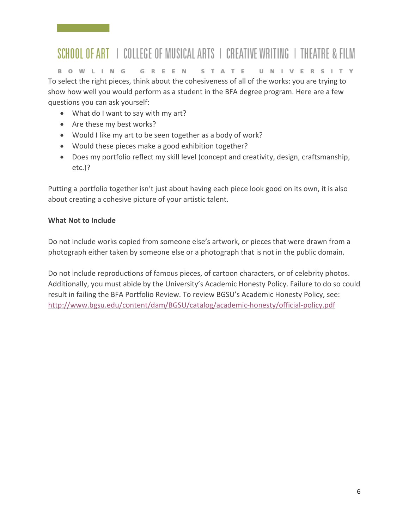# SCHOOL OF ART | COLLEGE OF MUSICAL ARTS | CREATIVE WRITING | THEATRE & FILM

BOWLING GREEN S T A T E U N I V E R S I T Y To select the right pieces, think about the cohesiveness of all of the works: you are trying to show how well you would perform as a student in the BFA degree program. Here are a few questions you can ask yourself:

- What do I want to say with my art?
- Are these my best works?
- Would I like my art to be seen together as a body of work?
- Would these pieces make a good exhibition together?
- Does my portfolio reflect my skill level (concept and creativity, design, craftsmanship, etc.)?

Putting a portfolio together isn't just about having each piece look good on its own, it is also about creating a cohesive picture of your artistic talent.

#### **What Not to Include**

Do not include works copied from someone else's artwork, or pieces that were drawn from a photograph either taken by someone else or a photograph that is not in the public domain.

Do not include reproductions of famous pieces, of cartoon characters, or of celebrity photos. Additionally, you must abide by the University's Academic Honesty Policy. Failure to do so could result in failing the BFA Portfolio Review. To review BGSU's Academic Honesty Policy, see: <http://www.bgsu.edu/content/dam/BGSU/catalog/academic-honesty/official-policy.pdf>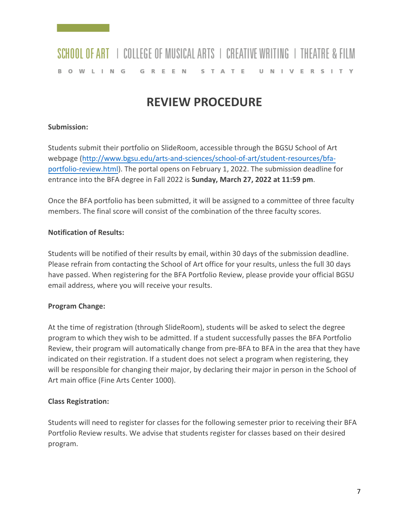### **REVIEW PROCEDURE**

#### **Submission:**

Students submit their portfolio on SlideRoom, accessible through the BGSU School of Art webpage [\(http://www.bgsu.edu/arts-and-sciences/school-of-art/student-resources/bfa](http://www.bgsu.edu/arts-and-sciences/school-of-art/student-resources/bfa-portfolio-review.html)[portfolio-review.html\)](http://www.bgsu.edu/arts-and-sciences/school-of-art/student-resources/bfa-portfolio-review.html). The portal opens on February 1, 2022. The submission deadline for entrance into the BFA degree in Fall 2022 is **Sunday, March 27, 2022 at 11:59 pm**.

Once the BFA portfolio has been submitted, it will be assigned to a committee of three faculty members. The final score will consist of the combination of the three faculty scores.

#### **Notification of Results:**

Students will be notified of their results by email, within 30 days of the submission deadline. Please refrain from contacting the School of Art office for your results, unless the full 30 days have passed. When registering for the BFA Portfolio Review, please provide your official BGSU email address, where you will receive your results.

#### **Program Change:**

At the time of registration (through SlideRoom), students will be asked to select the degree program to which they wish to be admitted. If a student successfully passes the BFA Portfolio Review, their program will automatically change from pre-BFA to BFA in the area that they have indicated on their registration. If a student does not select a program when registering, they will be responsible for changing their major, by declaring their major in person in the School of Art main office (Fine Arts Center 1000).

#### **Class Registration:**

Students will need to register for classes for the following semester prior to receiving their BFA Portfolio Review results. We advise that students register for classes based on their desired program.